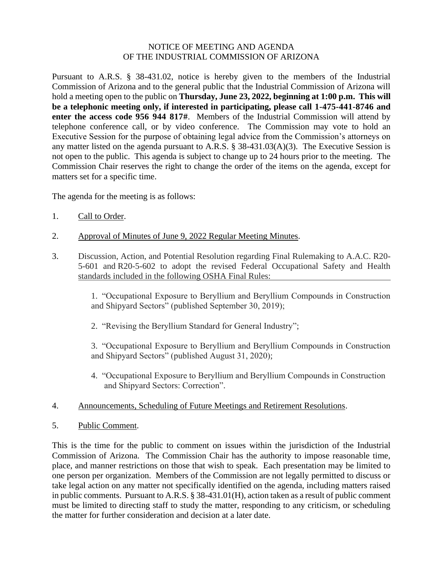## NOTICE OF MEETING AND AGENDA OF THE INDUSTRIAL COMMISSION OF ARIZONA

Pursuant to A.R.S. § 38-431.02, notice is hereby given to the members of the Industrial Commission of Arizona and to the general public that the Industrial Commission of Arizona will hold a meeting open to the public on **Thursday, June 23, 2022, beginning at 1:00 p.m. This will be a telephonic meeting only, if interested in participating, please call 1-475-441-8746 and enter the access code 956 944 817#**. Members of the Industrial Commission will attend by telephone conference call, or by video conference. The Commission may vote to hold an Executive Session for the purpose of obtaining legal advice from the Commission's attorneys on any matter listed on the agenda pursuant to A.R.S. § 38-431.03(A)(3). The Executive Session is not open to the public. This agenda is subject to change up to 24 hours prior to the meeting. The Commission Chair reserves the right to change the order of the items on the agenda, except for matters set for a specific time.

The agenda for the meeting is as follows:

- 1. Call to Order.
- 2. Approval of Minutes of June 9, 2022 Regular Meeting Minutes.
- 3. Discussion, Action, and Potential Resolution regarding Final Rulemaking to A.A.C. R20- 5-601 and R20-5-602 to adopt the revised Federal Occupational Safety and Health standards included in the following OSHA Final Rules:

1. "Occupational Exposure to Beryllium and Beryllium Compounds in Construction and Shipyard Sectors" (published September 30, 2019);

2. "Revising the Beryllium Standard for General Industry";

3. "Occupational Exposure to Beryllium and Beryllium Compounds in Construction and Shipyard Sectors" (published August 31, 2020);

- 4. "Occupational Exposure to Beryllium and Beryllium Compounds in Construction and Shipyard Sectors: Correction".
- 4. Announcements, Scheduling of Future Meetings and Retirement Resolutions.
- 5. Public Comment.

This is the time for the public to comment on issues within the jurisdiction of the Industrial Commission of Arizona. The Commission Chair has the authority to impose reasonable time, place, and manner restrictions on those that wish to speak. Each presentation may be limited to one person per organization. Members of the Commission are not legally permitted to discuss or take legal action on any matter not specifically identified on the agenda, including matters raised in public comments. Pursuant to A.R.S. § 38-431.01(H), action taken as a result of public comment must be limited to directing staff to study the matter, responding to any criticism, or scheduling the matter for further consideration and decision at a later date.